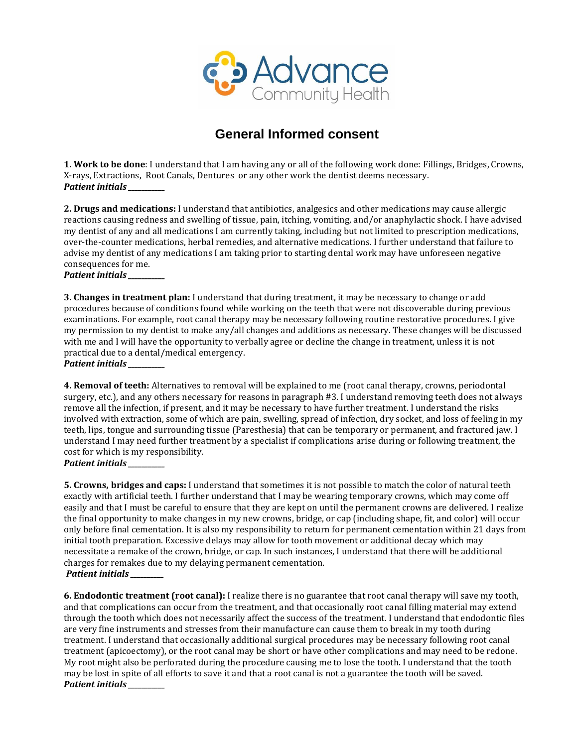

## **General Informed consent**

**1. Work to be done**: I understand that I am having any or all of the following work done: Fillings, Bridges, Crowns, X-rays, Extractions, Root Canals, Dentures or any other work the dentist deems necessary. *Patient initials \_\_\_\_\_\_\_\_\_\_\_* 

**2. Drugs and medications:** I understand that antibiotics, analgesics and other medications may cause allergic reactions causing redness and swelling of tissue, pain, itching, vomiting, and/or anaphylactic shock. I have advised my dentist of any and all medications I am currently taking, including but not limited to prescription medications, over-the-counter medications, herbal remedies, and alternative medications. I further understand that failure to advise my dentist of any medications I am taking prior to starting dental work may have unforeseen negative consequences for me.

*Patient initials \_\_\_\_\_\_\_\_\_\_\_* 

**3. Changes in treatment plan:** I understand that during treatment, it may be necessary to change or add procedures because of conditions found while working on the teeth that were not discoverable during previous examinations. For example, root canal therapy may be necessary following routine restorative procedures. I give my permission to my dentist to make any/all changes and additions as necessary. These changes will be discussed with me and I will have the opportunity to verbally agree or decline the change in treatment, unless it is not practical due to a dental/medical emergency. *Patient initials \_\_\_\_\_\_\_\_\_\_\_* 

**4. Removal of teeth:** Alternatives to removal will be explained to me (root canal therapy, crowns, periodontal surgery, etc.), and any others necessary for reasons in paragraph #3. I understand removing teeth does not always remove all the infection, if present, and it may be necessary to have further treatment. I understand the risks involved with extraction, some of which are pain, swelling, spread of infection, dry socket, and loss of feeling in my teeth, lips, tongue and surrounding tissue (Paresthesia) that can be temporary or permanent, and fractured jaw. I understand I may need further treatment by a specialist if complications arise during or following treatment, the cost for which is my responsibility.

*Patient initials \_\_\_\_\_\_\_\_\_\_\_* 

**5. Crowns, bridges and caps:** I understand that sometimes it is not possible to match the color of natural teeth exactly with artificial teeth. I further understand that I may be wearing temporary crowns, which may come off easily and that I must be careful to ensure that they are kept on until the permanent crowns are delivered. I realize the final opportunity to make changes in my new crowns, bridge, or cap (including shape, fit, and color) will occur only before final cementation. It is also my responsibility to return for permanent cementation within 21 days from initial tooth preparation. Excessive delays may allow for tooth movement or additional decay which may necessitate a remake of the crown, bridge, or cap. In such instances, I understand that there will be additional charges for remakes due to my delaying permanent cementation. *Patient initials \_\_\_\_\_\_\_\_\_\_*

**6. Endodontic treatment (root canal):** I realize there is no guarantee that root canal therapy will save my tooth, and that complications can occur from the treatment, and that occasionally root canal filling material may extend through the tooth which does not necessarily affect the success of the treatment. I understand that endodontic files are very fine instruments and stresses from their manufacture can cause them to break in my tooth during treatment. I understand that occasionally additional surgical procedures may be necessary following root canal treatment (apicoectomy), or the root canal may be short or have other complications and may need to be redone. My root might also be perforated during the procedure causing me to lose the tooth. I understand that the tooth may be lost in spite of all efforts to save it and that a root canal is not a guarantee the tooth will be saved. *Patient initials \_\_\_\_\_\_\_\_\_\_\_*